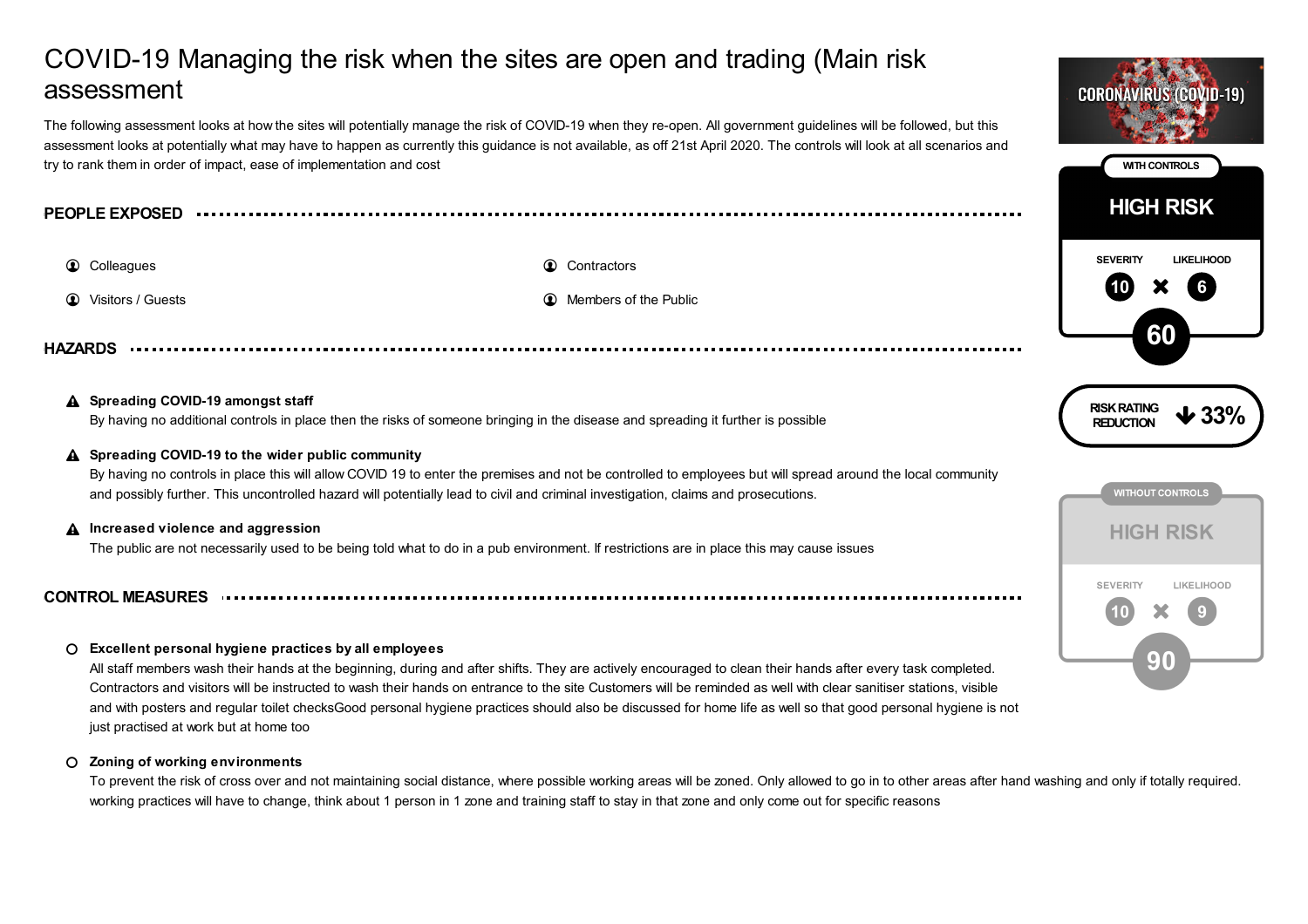# COVID-19 Managing the risk when the sites are open and trading (Main risk assessment

The following assessment looks at how the sites will potentially manage the risk of COVID-19 when they re-open. All government guidelines will be followed, but this assessment looks at potentially what may have to happen as currently this guidance is not available, as off 21st April 2020. The controls will look at all scenarios and try to rank them in order of impact, ease of implementation and cost

| <b>PEOPLE EXPOSED</b><br>. |  |  |  |  |  |  |  |  |  |  |  |
|----------------------------|--|--|--|--|--|--|--|--|--|--|--|
|----------------------------|--|--|--|--|--|--|--|--|--|--|--|

**1** Colleagues **Contractors Contractors Contractors** 

**1** Visitors / Guests **Members** of the Public **Members** of the Public **1** Members of the Public

**HAZARDS**

# **Spreading COVID-19 amongst staff**

By having no additional controls in place then the risks of someone bringing in the disease and spreading it further is possible

# **Spreading COVID-19 to the wider public community**

By having no controls in place this will allow COVID 19 to enter the premises and not be controlled to employees but will spread around the local community and possibly further. This uncontrolled hazard will potentially lead to civil and criminal investigation, claims and prosecutions.

# **Increased violence and aggression**

The public are not necessarily used to be being told what to do in a pub environment. If restrictions are in place this may cause issues

# **CONTROL MEASURES**

# **Excellent personal hygiene practices by all employees**

All staff members wash their hands at the beginning, during and after shifts. They are actively encouraged to clean their hands after every task completed. Contractors and visitors will be instructed to wash their hands on entrance to the site Customers will be reminded as well with clear sanitiser stations, visible and with posters and regular toilet checksGood personal hygiene practices should also be discussed for home life as well so that good personal hygiene is not just practised at work but at home too

#### **Zoning of working environments**  $\Omega$

To prevent the risk of cross over and not maintaining social distance, where possible working areas will be zoned. Only allowed to go in to other areas after hand washing and only if totally required. working practices will have to change, think about 1 person in 1 zone and training staff to stay in that zone and only come out for specific reasons

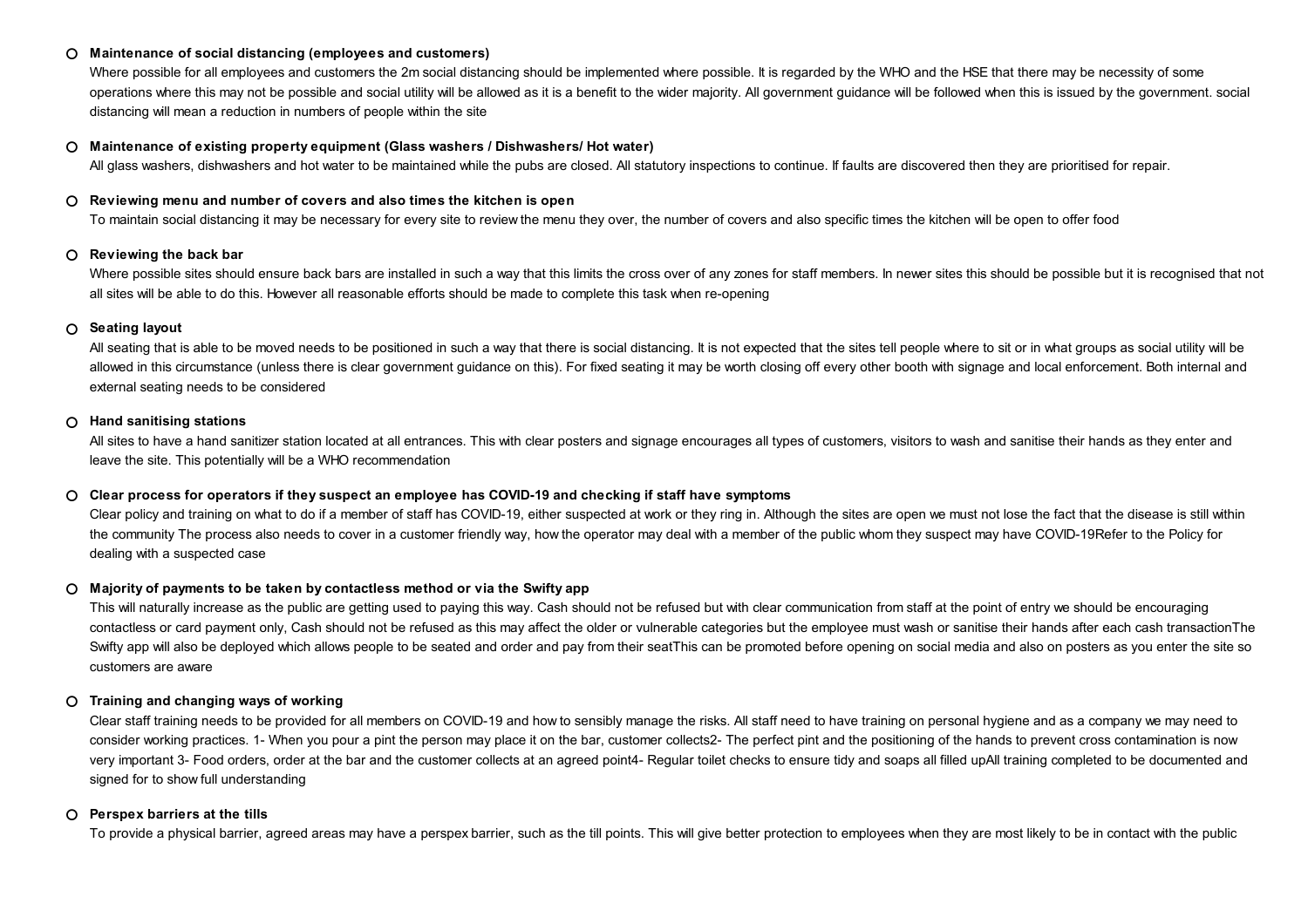#### **Maintenance of social distancing (employees and customers)**  $\Omega$

Where possible for all employees and customers the 2m social distancing should be implemented where possible. It is regarded by the WHO and the HSE that there may be necessity of some operations where this may not be possible and social utility will be allowed as it is a benefit to the wider majority. All government guidance will be followed when this is issued by the government. social distancing will mean a reduction in numbers of people within the site

#### **Maintenance of existing property equipment (Glass washers / Dishwashers/ Hot water)**  $\circ$

All glass washers, dishwashers and hot water to be maintained while the pubs are closed. All statutory inspections to continue. If faults are discovered then they are prioritised for repair.

### **Reviewing menu and number of covers and also times the kitchen is open**

To maintain social distancing it may be necessary for every site to review the menu they over, the number of covers and also specific times the kitchen will be open to offer food

### **Reviewing the back bar**

Where possible sites should ensure back bars are installed in such a way that this limits the cross over of any zones for staff members. In newer sites this should be possible but it is recognised that not all sites will be able to do this. However all reasonable efforts should be made to complete this task when re-opening

### **Seating layout**

All seating that is able to be moved needs to be positioned in such a way that there is social distancing. It is not expected that the sites tell people where to sit or in what groups as social utility will be allowed in this circumstance (unless there is clear government guidance on this). For fixed seating it may be worth closing off every other booth with signage and local enforcement. Both internal and external seating needs to be considered

#### **Hand sanitising stations**  $\Omega$

All sites to have a hand sanitizer station located at all entrances. This with clear posters and signage encourages all types of customers, visitors to wash and sanitise their hands as they enter and leave the site. This potentially will be a WHO recommendation

#### **Clear process for operators if they suspect an employee has COVID-19 and checking if staff have symptoms**  $\Omega$

Clear policy and training on what to do if a member of staff has COVID-19, either suspected at work or they ring in. Although the sites are open we must not lose the fact that the disease is still within the community The process also needs to cover in a customer friendly way, how the operator may deal with a member of the public whom they suspect may have COVID-19Refer to the Policy for dealing with a suspected case

# **Majority of payments to be taken by contactless method or via the Swifty app**

This will naturally increase as the public are getting used to paying this way. Cash should not be refused but with clear communication from staff at the point of entry we should be encouraging contactless or card payment only, Cash should not be refused as this may affect the older or vulnerable categories but the employee must wash or sanitise their hands after each cash transactionThe Swifty app will also be deployed which allows people to be seated and order and pay from their seatThis can be promoted before opening on social media and also on posters as you enter the site so customers are aware

#### **Training and changing ways of working**  $\circ$

Clear staff training needs to be provided for all members on COVID-19 and how to sensibly manage the risks. All staff need to have training on personal hygiene and as a company we may need to consider working practices. 1- When you pour a pint the person may place it on the bar, customer collects2- The perfect pint and the positioning of the hands to prevent cross contamination is now very important 3- Food orders, order at the bar and the customer collects at an agreed point4- Regular toilet checks to ensure tidy and soaps all filled upAll training completed to be documented and signed for to show full understanding

# **Perspex barriers at the tills**

To provide a physical barrier, agreed areas may have a perspex barrier, such as the till points. This will give better protection to employees when they are most likely to be in contact with the public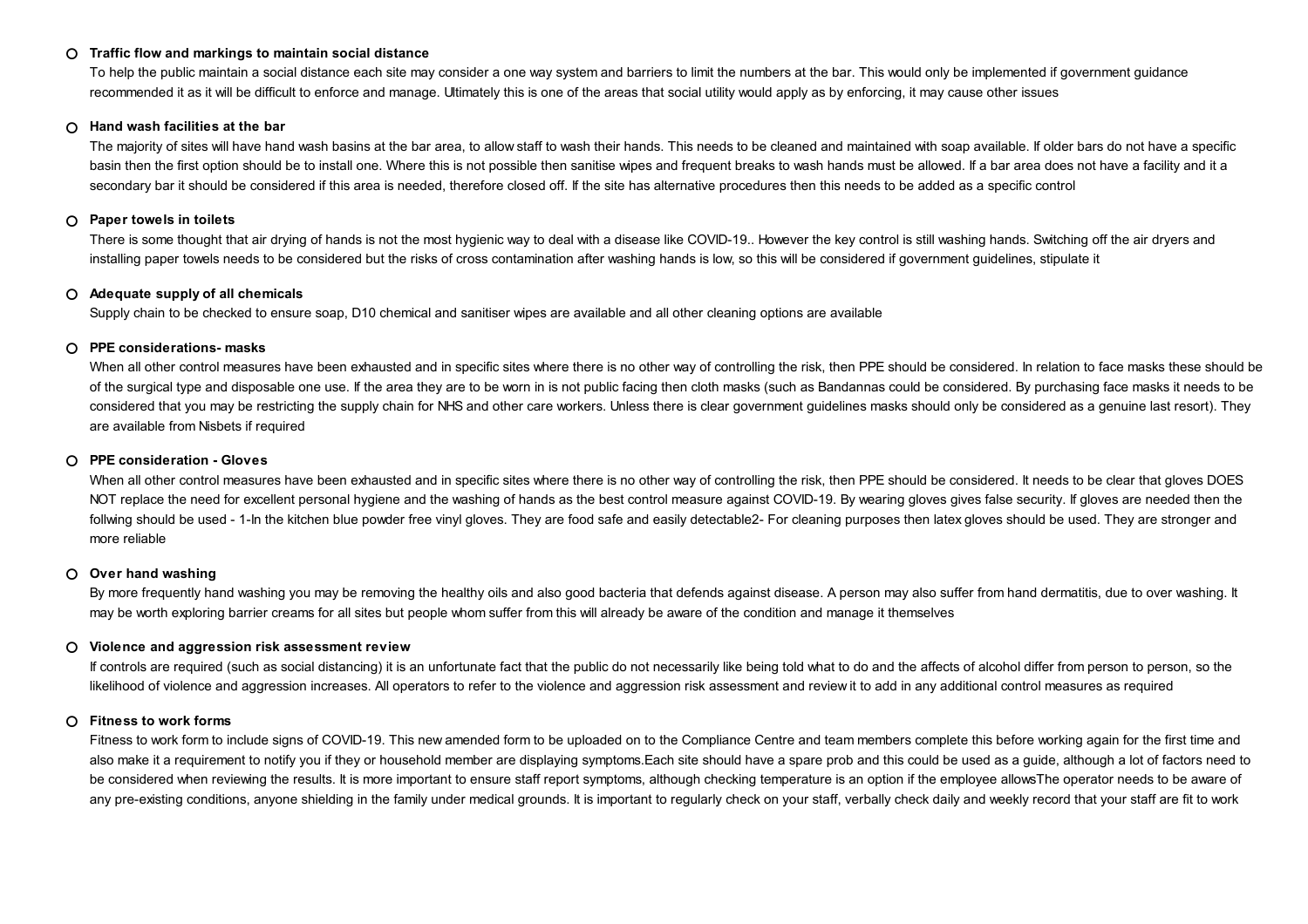#### **Traffic flow and markings to maintain social distance**  $\Omega$

To help the public maintain a social distance each site may consider a one way system and barriers to limit the numbers at the bar. This would only be implemented if government guidance recommended it as it will be difficult to enforce and manage. Ultimately this is one of the areas that social utility would apply as by enforcing, it may cause other issues

#### **Hand wash facilities at the bar**  $\Omega$

The majority of sites will have hand wash basins at the bar area, to allow staff to wash their hands. This needs to be cleaned and maintained with soap available. If older bars do not have a specific basin then the first option should be to install one. Where this is not possible then sanitise wipes and frequent breaks to wash hands must be allowed. If a bar area does not have a facility and it a secondary bar it should be considered if this area is needed, therefore closed off. If the site has alternative procedures then this needs to be added as a specific control

#### **Paper towels in toilets**  $\Omega$

There is some thought that air drying of hands is not the most hygienic way to deal with a disease like COVID-19.. However the key control is still washing hands. Switching off the air dryers and installing paper towels needs to be considered but the risks of cross contamination after washing hands is low, so this will be considered if government guidelines, stipulate it

#### **Adequate supply of all chemicals**  $\circ$

Supply chain to be checked to ensure soap, D10 chemical and sanitiser wipes are available and all other cleaning options are available

### **PPE considerations- masks**

When all other control measures have been exhausted and in specific sites where there is no other way of controlling the risk, then PPE should be considered. In relation to face masks these should be considered. of the surgical type and disposable one use. If the area they are to be worn in is not public facing then cloth masks (such as Bandannas could be considered. By purchasing face masks it needs to be considered that you may be restricting the supply chain for NHS and other care workers. Unless there is clear government guidelines masks should only be considered as a genuine last resort). They are available from Nisbets if required

#### **PPE consideration - Gloves**  $\Omega$

When all other control measures have been exhausted and in specific sites where there is no other way of controlling the risk, then PPE should be considered. It needs to be clear that gloves DOES NOT replace the need for excellent personal hygiene and the washing of hands as the best control measure against COVID-19. By wearing gloves gives false security. If gloves are needed then the follwing should be used - 1-In the kitchen blue powder free vinyl gloves. They are food safe and easily detectable2- For cleaning purposes then latex gloves should be used. They are stronger and more reliable

# **Over hand washing**

By more frequently hand washing you may be removing the healthy oils and also good bacteria that defends against disease. A person may also suffer from hand dermatitis, due to over washing. It may be worth exploring barrier creams for all sites but people whom suffer from this will already be aware of the condition and manage it themselves

### **Violence and aggression risk assessment review**

If controls are required (such as social distancing) it is an unfortunate fact that the public do not necessarily like being told what to do and the affects of alcohol differ from person to person, so the likelihood of violence and aggression increases. All operators to refer to the violence and aggression risk assessment and review it to add in any additional control measures as required

# **Fitness to work forms**

Fitness to work form to include signs of COVID-19. This new amended form to be uploaded on to the Compliance Centre and team members complete this before working again for the first time and also make it a requirement to notify you if they or household member are displaying symptoms.Each site should have a spare prob and this could be used as a guide, although a lot of factors need to be considered when reviewing the results. It is more important to ensure staff report symptoms, although checking temperature is an option if the employee allowsThe operator needs to be aware of any pre-existing conditions, anyone shielding in the family under medical grounds. It is important to regularly check on your staff, verbally check daily and weekly record that your staff are fit to work